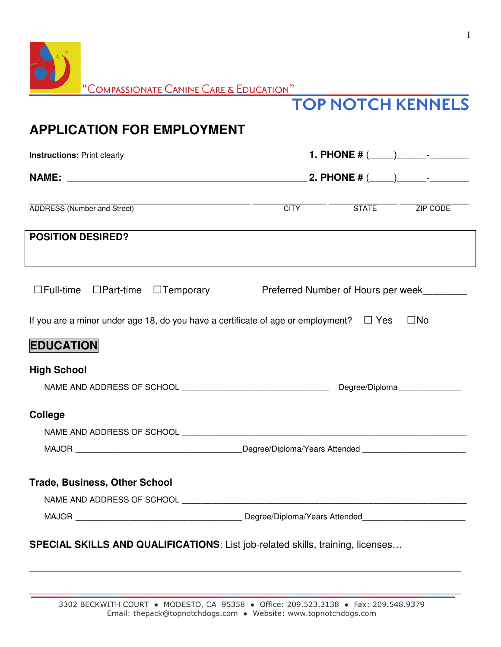| $\blacksquare$ |                                               |
|----------------|-----------------------------------------------|
|                | $"$ Compassionate Canine Care & Education $"$ |

## **TOP NOTCH KENNELS**

## **APPLICATION FOR EMPLOYMENT**

| <b>Instructions: Print clearly</b>                                                          |                                                                |                                |
|---------------------------------------------------------------------------------------------|----------------------------------------------------------------|--------------------------------|
|                                                                                             |                                                                |                                |
| <b>ADDRESS (Number and Street)</b>                                                          | <u>CITY STATE</u> ZIP CODE                                     |                                |
| <b>POSITION DESIRED?</b>                                                                    |                                                                |                                |
| $\Box$ Full-time $\Box$ Part-time $\Box$ Temporary                                          | Preferred Number of Hours per week                             |                                |
| If you are a minor under age 18, do you have a certificate of age or employment? $\Box$ Yes |                                                                | $\square$ No                   |
| <b>EDUCATION</b>                                                                            |                                                                |                                |
| <b>High School</b>                                                                          |                                                                |                                |
|                                                                                             |                                                                | Degree/Diploma________________ |
| <b>College</b>                                                                              |                                                                |                                |
|                                                                                             |                                                                |                                |
|                                                                                             | _Degree/Diploma/Years Attended _______________________________ |                                |
| <b>Trade, Business, Other School</b>                                                        |                                                                |                                |
| NAME AND ADDRESS OF SCHOOL AND THE STATE OF STATE AND THE STATE OF SCHOOL                   |                                                                |                                |
|                                                                                             |                                                                |                                |
| SPECIAL SKILLS AND QUALIFICATIONS: List job-related skills, training, licenses              |                                                                |                                |

\_\_\_\_\_\_\_\_\_\_\_\_\_\_\_\_\_\_\_\_\_\_\_\_\_\_\_\_\_\_\_\_\_\_\_\_\_\_\_\_\_\_\_\_\_\_\_\_\_\_\_\_\_\_\_\_\_\_\_\_\_\_\_\_\_\_\_\_\_\_\_\_\_\_\_\_\_\_\_\_\_\_\_\_\_\_\_\_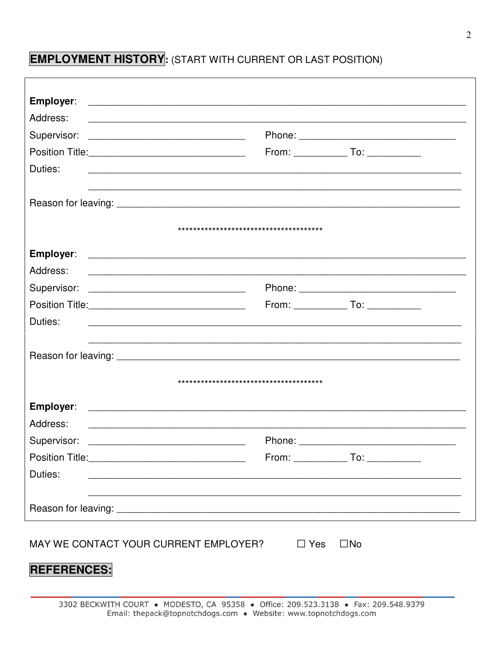## **EMPLOYMENT HISTORY**: (START WITH CURRENT OR LAST POSITION)

| Address:                                                                                                                         |                                          |
|----------------------------------------------------------------------------------------------------------------------------------|------------------------------------------|
| Supervisor:                                                                                                                      |                                          |
|                                                                                                                                  | $From: ____________ To: ____________$    |
| Duties:<br><u> 1989 - Johann John Stoff, deutscher Stoffen und der Stoffen und der Stoffen und der Stoffen und der Stoffen u</u> |                                          |
|                                                                                                                                  |                                          |
|                                                                                                                                  |                                          |
|                                                                                                                                  |                                          |
| Address:                                                                                                                         |                                          |
|                                                                                                                                  |                                          |
|                                                                                                                                  | From: ________________ To: _____________ |
| Duties:<br><u> 1989 - Johann John Stoff, deutscher Stoffen und der Stoffen und der Stoffen und der Stoffen und der Stoffen</u>   |                                          |
|                                                                                                                                  |                                          |
|                                                                                                                                  |                                          |
| Employer:                                                                                                                        |                                          |
| Address:                                                                                                                         |                                          |
| Supervisor:                                                                                                                      | Phone:                                   |
|                                                                                                                                  | $From: ____________ To: ____________$    |
| Duties:                                                                                                                          |                                          |
|                                                                                                                                  |                                          |
|                                                                                                                                  |                                          |
| MAY WE CONTACT YOUR CURRENT EMPLOYER? $\Box$ Yes                                                                                 | $\square$ No                             |
| <b>REFERENCES:</b>                                                                                                               |                                          |